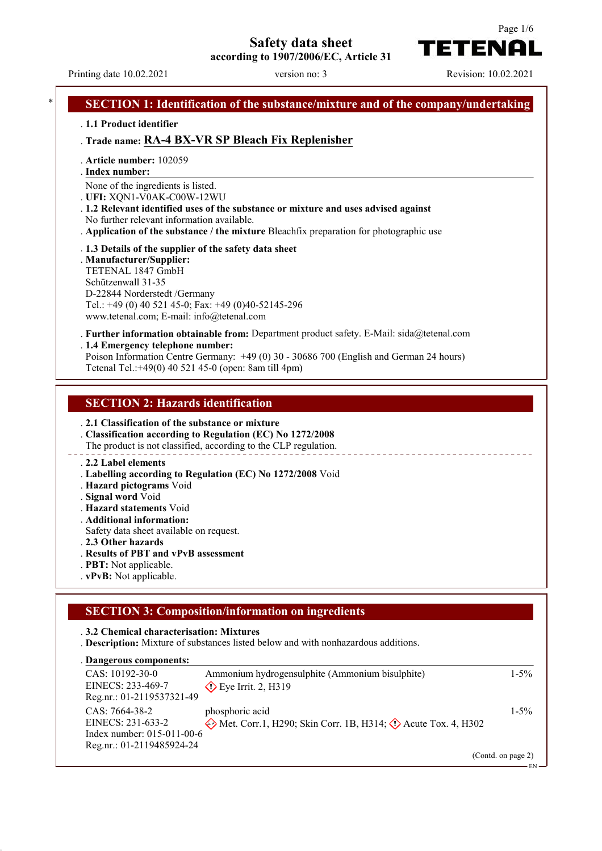**Safety data sheet**

**according to 1907/2006/EC, Article 31**



TETENAI

Page 1/6

## **SECTION 1: Identification of the substance/mixture and of the company/undertaking** . **1.1 Product identifier** . **Trade name: RA-4 BX-VR SP Bleach Fix Replenisher** . **Article number:** 102059 **Index number:** . None of the ingredients is listed. . **UFI:** XQN1-V0AK-C00W-12WU . **1.2 Relevant identified uses of the substance or mixture and uses advised against** No further relevant information available. . **Application of the substance / the mixture** Bleachfix preparation for photographic use . **1.3 Details of the supplier of the safety data sheet** . **Manufacturer/Supplier:** TETENAL 1847 GmbH Schützenwall 31-35 D-22844 Norderstedt /Germany Tel.: +49 (0) 40 521 45-0; Fax: +49 (0)40-52145-296 www.tetenal.com; E-mail: info@tetenal.com . **Further information obtainable from:** Department product safety. E-Mail: sida@tetenal.com . **1.4 Emergency telephone number:** Poison Information Centre Germany: +49 (0) 30 - 30686 700 (English and German 24 hours) Tetenal Tel.:+49(0) 40 521 45-0 (open: 8am till 4pm) **SECTION 2: Hazards identification** . **2.1 Classification of the substance or mixture** . **Classification according to Regulation (EC) No 1272/2008** The product is not classified, according to the CLP regulation. . **2.2 Label elements**

- . **Labelling according to Regulation (EC) No 1272/2008** Void
- . **Hazard pictograms** Void
- . **Signal word** Void
- . **Hazard statements** Void
- . **Additional information:**
- Safety data sheet available on request.
- . **2.3 Other hazards**
- . **Results of PBT and vPvB assessment**
- . **PBT:** Not applicable.
- . **vPvB:** Not applicable.

### **SECTION 3: Composition/information on ingredients**

#### . **3.2 Chemical characterisation: Mixtures**

. **Description:** Mixture of substances listed below and with nonhazardous additions.

**Dangerous components:** .

| $CAS: 10192-30-0$            | Ammonium hydrogensulphite (Ammonium bisulphite)                       | $1 - 5\%$          |
|------------------------------|-----------------------------------------------------------------------|--------------------|
| EINECS: 233-469-7            | $\diamond$ Eye Irrit. 2, H319                                         |                    |
| Reg.nr.: 01-2119537321-49    |                                                                       |                    |
| $CAS: 7664-38-2$             | phosphoric acid                                                       | $1 - 5\%$          |
| EINECS: 231-633-2            | Met. Corr.1, H290; Skin Corr. 1B, H314; $\Diamond$ Acute Tox. 4, H302 |                    |
| Index number: $015-011-00-6$ |                                                                       |                    |
| Reg.nr.: 01-2119485924-24    |                                                                       |                    |
|                              |                                                                       | (Contd. on page 2) |

EN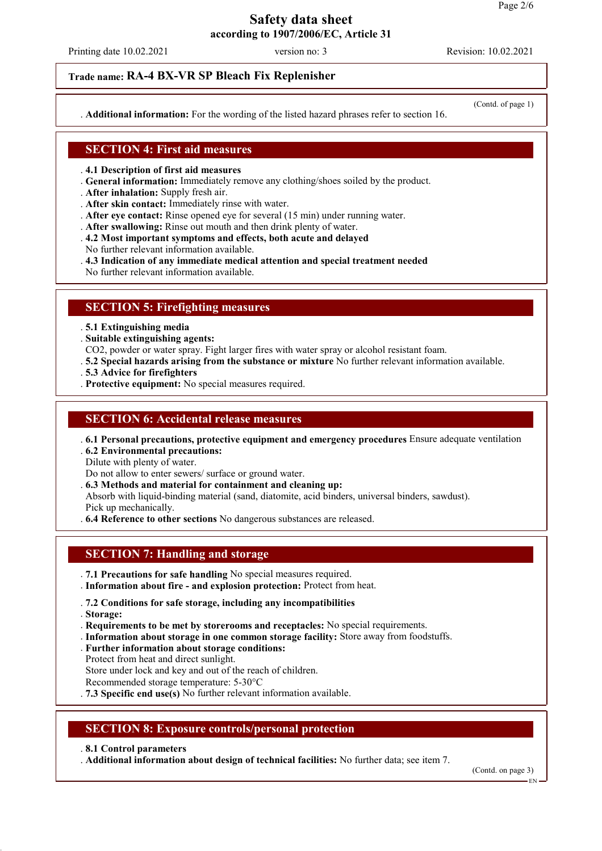Printing date 10.02.2021 version no: 3 Revision: 10.02.2021

#### **Trade name: RA-4 BX-VR SP Bleach Fix Replenisher**

. **Additional information:** For the wording of the listed hazard phrases refer to section 16.

#### **SECTION 4: First aid measures**

. **4.1 Description of first aid measures**

- . **General information:** Immediately remove any clothing/shoes soiled by the product.
- . **After inhalation:** Supply fresh air.
- . **After skin contact:** Immediately rinse with water.
- . **After eye contact:** Rinse opened eye for several (15 min) under running water.
- . **After swallowing:** Rinse out mouth and then drink plenty of water.
- . **4.2 Most important symptoms and effects, both acute and delayed**
- No further relevant information available.
- . **4.3 Indication of any immediate medical attention and special treatment needed**
- No further relevant information available.

#### **SECTION 5: Firefighting measures**

. **5.1 Extinguishing media**

. **Suitable extinguishing agents:**

- CO2, powder or water spray. Fight larger fires with water spray or alcohol resistant foam.
- . **5.2 Special hazards arising from the substance or mixture** No further relevant information available.
- . **5.3 Advice for firefighters**
- . **Protective equipment:** No special measures required.

#### **SECTION 6: Accidental release measures**

. **6.1 Personal precautions, protective equipment and emergency procedures** Ensure adequate ventilation

. **6.2 Environmental precautions:**

Dilute with plenty of water.

Do not allow to enter sewers/ surface or ground water.

. **6.3 Methods and material for containment and cleaning up:**

Absorb with liquid-binding material (sand, diatomite, acid binders, universal binders, sawdust). Pick up mechanically.

. **6.4 Reference to other sections** No dangerous substances are released.

### **SECTION 7: Handling and storage**

- . **7.1 Precautions for safe handling** No special measures required.
- . **Information about fire and explosion protection:** Protect from heat.

#### . **7.2 Conditions for safe storage, including any incompatibilities**

. **Storage:**

- . **Requirements to be met by storerooms and receptacles:** No special requirements.
- . **Information about storage in one common storage facility:** Store away from foodstuffs.
- . **Further information about storage conditions:**
- Protect from heat and direct sunlight.

Store under lock and key and out of the reach of children.

Recommended storage temperature: 5-30°C

. **7.3 Specific end use(s)** No further relevant information available.

### **SECTION 8: Exposure controls/personal protection**

. **8.1 Control parameters**

. **Additional information about design of technical facilities:** No further data; see item 7.

(Contd. on page 3)

#### (Contd. of page 1)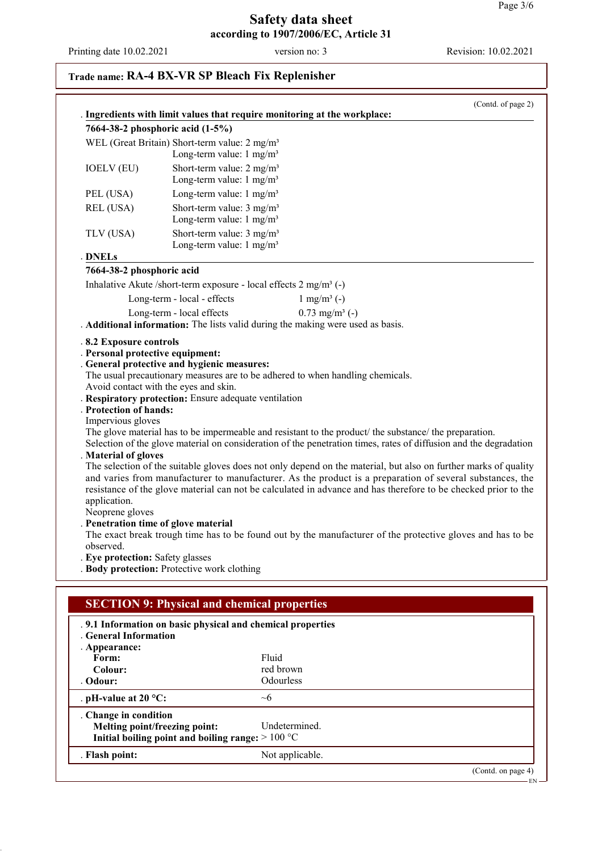Printing date 10.02.2021 version no: 3 Revision: 10.02.2021

# **Trade name: RA-4 BX-VR SP Bleach Fix Replenisher**

|                                                                                                                                                         | (Contd. of page 2)<br>. Ingredients with limit values that require monitoring at the workplace:                                                                                                                                                                                                                                                                                                                                                                                                                                                                                                                                                                                                                                                                                                                                                                                                                                                                                                                    |
|---------------------------------------------------------------------------------------------------------------------------------------------------------|--------------------------------------------------------------------------------------------------------------------------------------------------------------------------------------------------------------------------------------------------------------------------------------------------------------------------------------------------------------------------------------------------------------------------------------------------------------------------------------------------------------------------------------------------------------------------------------------------------------------------------------------------------------------------------------------------------------------------------------------------------------------------------------------------------------------------------------------------------------------------------------------------------------------------------------------------------------------------------------------------------------------|
|                                                                                                                                                         | 7664-38-2 phosphoric acid (1-5%)                                                                                                                                                                                                                                                                                                                                                                                                                                                                                                                                                                                                                                                                                                                                                                                                                                                                                                                                                                                   |
|                                                                                                                                                         | WEL (Great Britain) Short-term value: 2 mg/m <sup>3</sup>                                                                                                                                                                                                                                                                                                                                                                                                                                                                                                                                                                                                                                                                                                                                                                                                                                                                                                                                                          |
|                                                                                                                                                         | Long-term value: $1 \text{ mg/m}^3$                                                                                                                                                                                                                                                                                                                                                                                                                                                                                                                                                                                                                                                                                                                                                                                                                                                                                                                                                                                |
| <b>IOELV (EU)</b>                                                                                                                                       | Short-term value: $2 \text{ mg/m}^3$                                                                                                                                                                                                                                                                                                                                                                                                                                                                                                                                                                                                                                                                                                                                                                                                                                                                                                                                                                               |
|                                                                                                                                                         | Long-term value: $1 \text{ mg/m}^3$                                                                                                                                                                                                                                                                                                                                                                                                                                                                                                                                                                                                                                                                                                                                                                                                                                                                                                                                                                                |
| PEL (USA)                                                                                                                                               | Long-term value: $1 \text{ mg/m}^3$                                                                                                                                                                                                                                                                                                                                                                                                                                                                                                                                                                                                                                                                                                                                                                                                                                                                                                                                                                                |
| REL (USA)                                                                                                                                               | Short-term value: $3 \text{ mg/m}^3$<br>Long-term value: $1 \text{ mg/m}^3$                                                                                                                                                                                                                                                                                                                                                                                                                                                                                                                                                                                                                                                                                                                                                                                                                                                                                                                                        |
| TLV (USA)                                                                                                                                               | Short-term value: $3 \text{ mg/m}^3$<br>Long-term value: $1 \text{ mg/m}^3$                                                                                                                                                                                                                                                                                                                                                                                                                                                                                                                                                                                                                                                                                                                                                                                                                                                                                                                                        |
| <b>DNELs</b>                                                                                                                                            |                                                                                                                                                                                                                                                                                                                                                                                                                                                                                                                                                                                                                                                                                                                                                                                                                                                                                                                                                                                                                    |
| 7664-38-2 phosphoric acid                                                                                                                               |                                                                                                                                                                                                                                                                                                                                                                                                                                                                                                                                                                                                                                                                                                                                                                                                                                                                                                                                                                                                                    |
|                                                                                                                                                         | Inhalative Akute /short-term exposure - local effects $2 \text{ mg/m}^3$ (-)                                                                                                                                                                                                                                                                                                                                                                                                                                                                                                                                                                                                                                                                                                                                                                                                                                                                                                                                       |
|                                                                                                                                                         | Long-term - local - effects<br>$1 \text{ mg/m}^3$ (-)                                                                                                                                                                                                                                                                                                                                                                                                                                                                                                                                                                                                                                                                                                                                                                                                                                                                                                                                                              |
|                                                                                                                                                         | $0.73$ mg/m <sup>3</sup> (-)<br>Long-term - local effects                                                                                                                                                                                                                                                                                                                                                                                                                                                                                                                                                                                                                                                                                                                                                                                                                                                                                                                                                          |
|                                                                                                                                                         | . Additional information: The lists valid during the making were used as basis.                                                                                                                                                                                                                                                                                                                                                                                                                                                                                                                                                                                                                                                                                                                                                                                                                                                                                                                                    |
| . Protection of hands:<br>Impervious gloves<br>. Material of gloves<br>application.<br>Neoprene gloves<br>observed.<br>. Eye protection: Safety glasses | . General protective and hygienic measures:<br>The usual precautionary measures are to be adhered to when handling chemicals.<br>Avoid contact with the eyes and skin.<br>. Respiratory protection: Ensure adequate ventilation<br>The glove material has to be impermeable and resistant to the product/ the substance/ the preparation.<br>Selection of the glove material on consideration of the penetration times, rates of diffusion and the degradation<br>The selection of the suitable gloves does not only depend on the material, but also on further marks of quality<br>and varies from manufacturer to manufacturer. As the product is a preparation of several substances, the<br>resistance of the glove material can not be calculated in advance and has therefore to be checked prior to the<br>Penetration time of glove material<br>The exact break trough time has to be found out by the manufacturer of the protective gloves and has to be<br>. Body protection: Protective work clothing |
|                                                                                                                                                         | <b>SECTION 9: Physical and chemical properties</b>                                                                                                                                                                                                                                                                                                                                                                                                                                                                                                                                                                                                                                                                                                                                                                                                                                                                                                                                                                 |
| <b>General Information</b><br>. Appearance:<br>Form:<br>Colour:                                                                                         | .9.1 Information on basic physical and chemical properties<br>Fluid<br>red brown<br>Odourless                                                                                                                                                                                                                                                                                                                                                                                                                                                                                                                                                                                                                                                                                                                                                                                                                                                                                                                      |
| Odour:                                                                                                                                                  |                                                                                                                                                                                                                                                                                                                                                                                                                                                                                                                                                                                                                                                                                                                                                                                                                                                                                                                                                                                                                    |
| . pH-value at $20 °C$ :                                                                                                                                 | $\sim\!\!6$                                                                                                                                                                                                                                                                                                                                                                                                                                                                                                                                                                                                                                                                                                                                                                                                                                                                                                                                                                                                        |
| . Change in condition                                                                                                                                   | Melting point/freezing point:<br>Undetermined.<br>Initial boiling point and boiling range: $>100 °C$                                                                                                                                                                                                                                                                                                                                                                                                                                                                                                                                                                                                                                                                                                                                                                                                                                                                                                               |

. **Flash point:** Not applicable.

(Contd. on page 4)

EN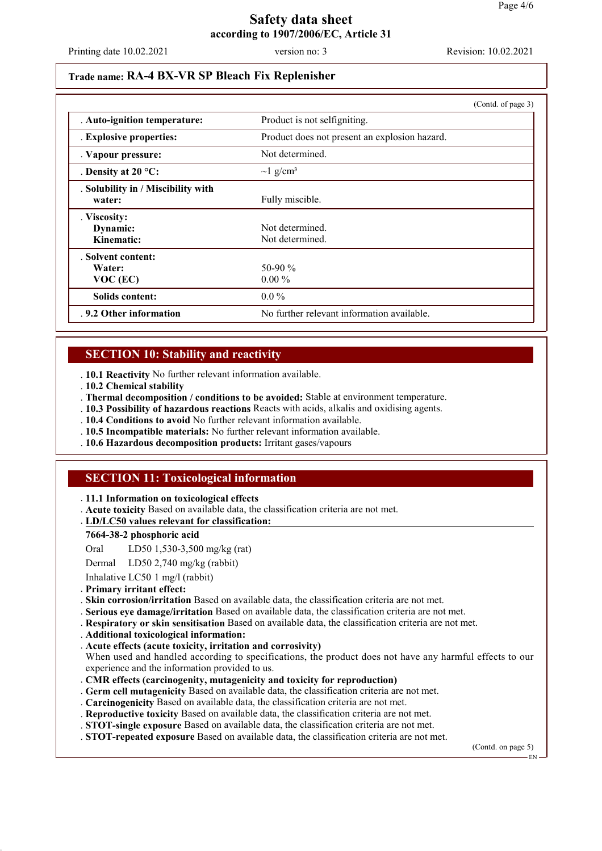Printing date 10.02.2021 version no: 3 Revision: 10.02.2021

#### **Trade name: RA-4 BX-VR SP Bleach Fix Replenisher**

|                                              | (Contd. of page 3)                            |  |
|----------------------------------------------|-----------------------------------------------|--|
| . Auto-ignition temperature:                 | Product is not selfigniting.                  |  |
| . Explosive properties:                      | Product does not present an explosion hazard. |  |
| . Vapour pressure:                           | Not determined.                               |  |
| . Density at $20^{\circ}$ C:                 | $\sim$ 1 g/cm <sup>3</sup>                    |  |
| . Solubility in / Miscibility with<br>water: | Fully miscible.                               |  |
| . Viscosity:<br>Dynamic:<br>Kinematic:       | Not determined.<br>Not determined.            |  |
| . Solvent content:<br>Water:<br>$VOC$ (EC)   | 50-90 $\%$<br>$0.00\%$                        |  |
| Solids content:                              | $0.0\%$                                       |  |
| . 9.2 Other information                      | No further relevant information available.    |  |

### **SECTION 10: Stability and reactivity**

. **10.1 Reactivity** No further relevant information available.

- . **10.2 Chemical stability**
- . **Thermal decomposition / conditions to be avoided:** Stable at environment temperature.
- . **10.3 Possibility of hazardous reactions** Reacts with acids, alkalis and oxidising agents.
- . **10.4 Conditions to avoid** No further relevant information available.
- . **10.5 Incompatible materials:** No further relevant information available.
- . **10.6 Hazardous decomposition products:** Irritant gases/vapours

### **SECTION 11: Toxicological information**

#### . **11.1 Information on toxicological effects**

. **Acute toxicity** Based on available data, the classification criteria are not met.

#### **LD/LC50 values relevant for classification:** .

#### **7664-38-2 phosphoric acid**

Oral LD50 1,530-3,500 mg/kg (rat)

Dermal LD50 2,740 mg/kg (rabbit)

Inhalative LC50 1 mg/l (rabbit)

- . **Primary irritant effect:**
- . **Skin corrosion/irritation** Based on available data, the classification criteria are not met.
- . **Serious eye damage/irritation** Based on available data, the classification criteria are not met.
- . **Respiratory or skin sensitisation** Based on available data, the classification criteria are not met.
- . **Additional toxicological information:**
- . **Acute effects (acute toxicity, irritation and corrosivity)**
- When used and handled according to specifications, the product does not have any harmful effects to our experience and the information provided to us.
- . **CMR effects (carcinogenity, mutagenicity and toxicity for reproduction)**
- . **Germ cell mutagenicity** Based on available data, the classification criteria are not met.
- . **Carcinogenicity** Based on available data, the classification criteria are not met.
- . **Reproductive toxicity** Based on available data, the classification criteria are not met.
- . **STOT-single exposure** Based on available data, the classification criteria are not met.
- . **STOT-repeated exposure** Based on available data, the classification criteria are not met.

(Contd. on page 5)

EN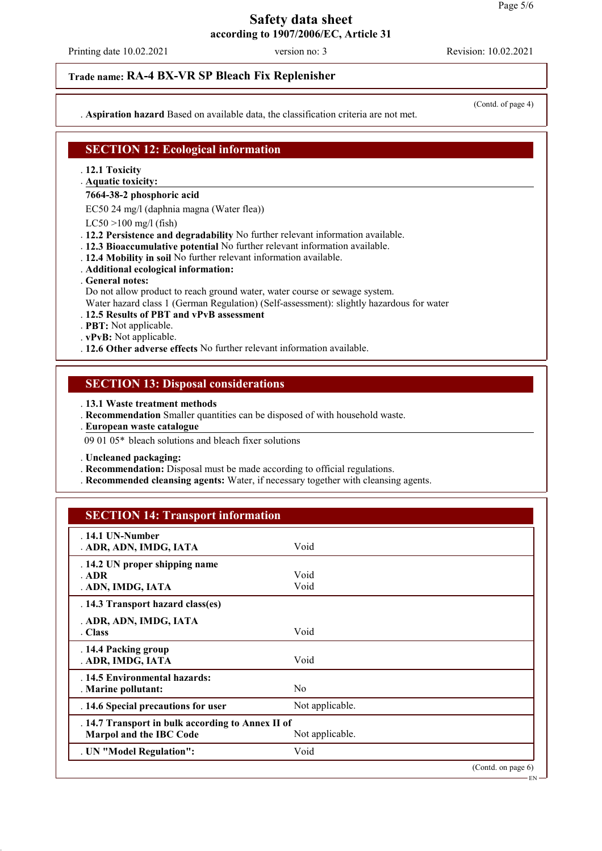Printing date 10.02.2021 version no: 3 Revision: 10.02.2021

### **Trade name: RA-4 BX-VR SP Bleach Fix Replenisher**

. **Aspiration hazard** Based on available data, the classification criteria are not met.

(Contd. of page 4)

### **SECTION 12: Ecological information**

- . **12.1 Toxicity**
- **Aquatic toxicity:** .

#### **7664-38-2 phosphoric acid**

EC50 24 mg/l (daphnia magna (Water flea))

- $LC50 > 100$  mg/l (fish)
- . **12.2 Persistence and degradability** No further relevant information available.
- . **12.3 Bioaccumulative potential** No further relevant information available.
- . **12.4 Mobility in soil** No further relevant information available.
- . **Additional ecological information:**
- . **General notes:**

Do not allow product to reach ground water, water course or sewage system.

Water hazard class 1 (German Regulation) (Self-assessment): slightly hazardous for water

- . **12.5 Results of PBT and vPvB assessment**
- . **PBT:** Not applicable.
- . **vPvB:** Not applicable.
- . **12.6 Other adverse effects** No further relevant information available.

#### **SECTION 13: Disposal considerations**

. **13.1 Waste treatment methods**

- . **Recommendation** Smaller quantities can be disposed of with household waste.
- **European waste catalogue** .
- 09 01 05\* bleach solutions and bleach fixer solutions
- . **Uncleaned packaging:**
- . **Recommendation:** Disposal must be made according to official regulations.
- . **Recommended cleansing agents:** Water, if necessary together with cleansing agents.

#### **SECTION 14: Transport information**

| $.14.1$ UN-Number<br>. ADR, ADN, IMDG, IATA       | Void            |                             |  |  |
|---------------------------------------------------|-----------------|-----------------------------|--|--|
|                                                   |                 |                             |  |  |
| . 14.2 UN proper shipping name<br>. ADR           | Void            |                             |  |  |
| . ADN, IMDG, IATA                                 | Void            |                             |  |  |
| . 14.3 Transport hazard class(es)                 |                 |                             |  |  |
| . ADR, ADN, IMDG, IATA                            |                 |                             |  |  |
| . Class                                           | Void            |                             |  |  |
| . 14.4 Packing group                              |                 |                             |  |  |
| . ADR, IMDG, IATA                                 | Void            |                             |  |  |
| . 14.5 Environmental hazards:                     |                 |                             |  |  |
| . Marine pollutant:                               | N <sub>0</sub>  |                             |  |  |
| . 14.6 Special precautions for user               | Not applicable. |                             |  |  |
| . 14.7 Transport in bulk according to Annex II of |                 |                             |  |  |
| Marpol and the IBC Code                           | Not applicable. |                             |  |  |
| . UN "Model Regulation":                          | Void            |                             |  |  |
|                                                   |                 | (Contd. on page 6)<br>$EN-$ |  |  |